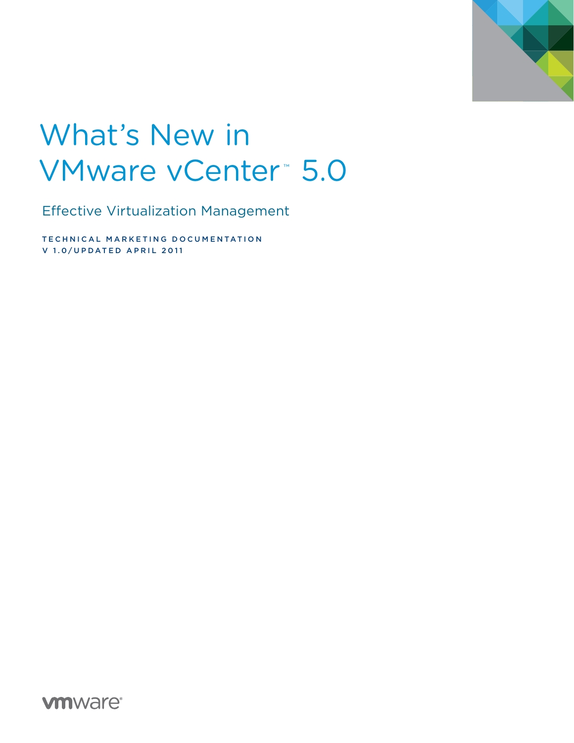

# What's New in VMware vCenter<sup>™</sup> 5.0

Effective Virtualization Management

TECHNICAL MARKETING DOCUMENTATION V 1.0/UPDATED APRIL 2011

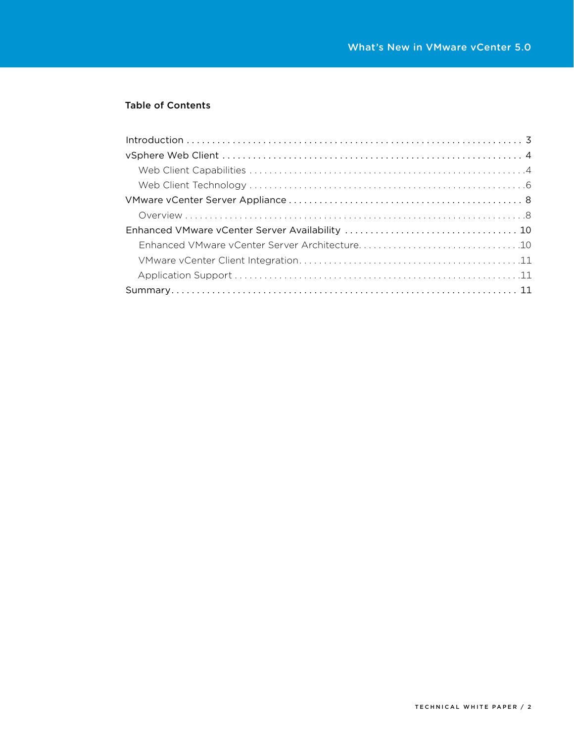# Table of Contents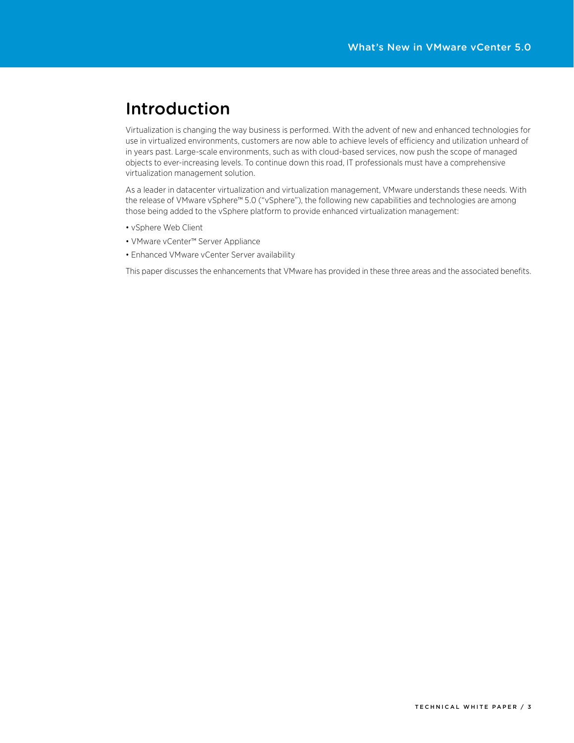# Introduction

Virtualization is changing the way business is performed. With the advent of new and enhanced technologies for use in virtualized environments, customers are now able to achieve levels of efficiency and utilization unheard of in years past. Large-scale environments, such as with cloud-based services, now push the scope of managed objects to ever-increasing levels. To continue down this road, IT professionals must have a comprehensive virtualization management solution.

As a leader in datacenter virtualization and virtualization management, VMware understands these needs. With the release of VMware vSphere™ 5.0 ("vSphere"), the following new capabilities and technologies are among those being added to the vSphere platform to provide enhanced virtualization management:

- • vSphere Web Client
- • VMware vCenter™ Server Appliance
- Enhanced VMware vCenter Server availability

This paper discusses the enhancements that VMware has provided in these three areas and the associated benefits.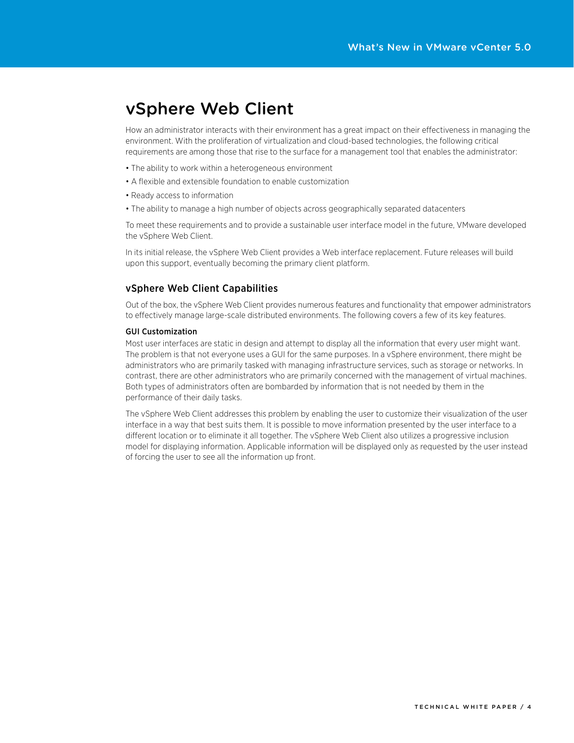# vSphere Web Client

How an administrator interacts with their environment has a great impact on their effectiveness in managing the environment. With the proliferation of virtualization and cloud-based technologies, the following critical requirements are among those that rise to the surface for a management tool that enables the administrator:

- The ability to work within a heterogeneous environment
- A flexible and extensible foundation to enable customization
- Ready access to information
- The ability to manage a high number of objects across geographically separated datacenters

To meet these requirements and to provide a sustainable user interface model in the future, VMware developed the vSphere Web Client.

In its initial release, the vSphere Web Client provides a Web interface replacement. Future releases will build upon this support, eventually becoming the primary client platform.

### vSphere Web Client Capabilities

Out of the box, the vSphere Web Client provides numerous features and functionality that empower administrators to effectively manage large-scale distributed environments. The following covers a few of its key features.

#### GUI Customization

Most user interfaces are static in design and attempt to display all the information that every user might want. The problem is that not everyone uses a GUI for the same purposes. In a vSphere environment, there might be administrators who are primarily tasked with managing infrastructure services, such as storage or networks. In contrast, there are other administrators who are primarily concerned with the management of virtual machines. Both types of administrators often are bombarded by information that is not needed by them in the performance of their daily tasks.

The vSphere Web Client addresses this problem by enabling the user to customize their visualization of the user interface in a way that best suits them. It is possible to move information presented by the user interface to a different location or to eliminate it all together. The vSphere Web Client also utilizes a progressive inclusion model for displaying information. Applicable information will be displayed only as requested by the user instead of forcing the user to see all the information up front.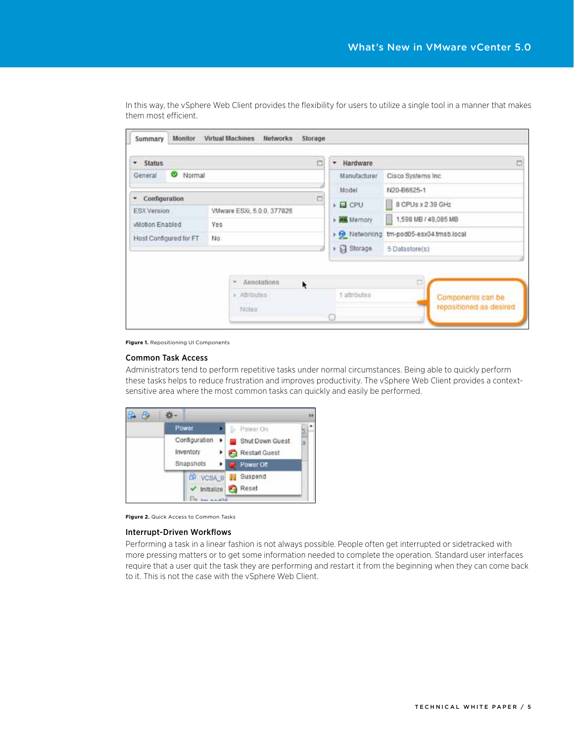| <b>Status</b>                                    | $\Box$                | Hardware<br>٠                                                 |                                              |  |  |
|--------------------------------------------------|-----------------------|---------------------------------------------------------------|----------------------------------------------|--|--|
| V Normal<br>General                              |                       | Manufacturer<br>Cisco Systems Inc.                            |                                              |  |  |
|                                                  |                       | Model                                                         | N20-B6625-1                                  |  |  |
| Configuration<br>٠                               | $\Box$                | $\triangleright$ $\Box$ CPU                                   | 8 CPUs x 2 39 GHz                            |  |  |
| VMware ESXi, 5.0.0, 377826<br><b>ESX Version</b> |                       | » Memory                                                      | 1,598 MB / 49,085 MB                         |  |  |
| Miotion Enabled<br>Yes                           |                       | $\rightarrow$ $\odot$ Networking<br>tm-pod05-esx04.tmsb.local |                                              |  |  |
| Host Configured for FT                           | No.                   | Storage<br>۲                                                  | 5 Datastore(s)                               |  |  |
|                                                  | * Annotations<br>٠    |                                                               | $\Box$                                       |  |  |
|                                                  | » Attributes<br>Notes | 1 attributes                                                  | Components can be<br>repositioned as desired |  |  |

In this way, the vSphere Web Client provides the flexibility for users to utilize a single tool in a manner that makes them most efficient.

**Figure 1.** Repositioning UI Components

#### Common Task Access

Administrators tend to perform repetitive tasks under normal circumstances. Being able to quickly perform these tasks helps to reduce frustration and improves productivity. The vSphere Web Client provides a contextsensitive area where the most common tasks can quickly and easily be performed.

| Power            |                                                              | ٠ |
|------------------|--------------------------------------------------------------|---|
| Inventory        | Power On<br>Configuration > Shut Down Guest<br>Restart Guest | 3 |
| Snapshots        | ٠<br>Power Off                                               |   |
| <b>CP VCSA 0</b> | Suspend                                                      |   |
| Initialize       | <b>Reset</b>                                                 |   |

**Figure 2.** Quick Access to Common Tasks

#### Interrupt-Driven Workflows

Performing a task in a linear fashion is not always possible. People often get interrupted or sidetracked with more pressing matters or to get some information needed to complete the operation. Standard user interfaces require that a user quit the task they are performing and restart it from the beginning when they can come back to it. This is not the case with the vSphere Web Client.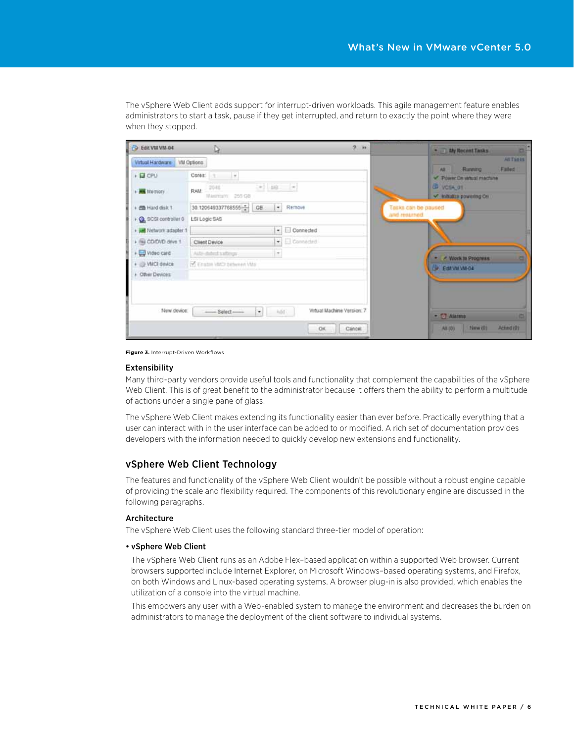The vSphere Web Client adds support for interrupt-driven workloads. This agile management feature enables administrators to start a task, pause if they get interrupted, and return to exactly the point where they were when they stopped.

| D Edit VM VM 04         | ⊵                                                            | $2 - h$                    | *  Lily Recent Tanks<br><b>OF</b>                        |
|-------------------------|--------------------------------------------------------------|----------------------------|----------------------------------------------------------|
| Virtual Hardware        | VM Options                                                   |                            | All Tanks                                                |
| + E CPU                 | Cores: 1 v                                                   |                            | Falled<br>Running<br><b>AB</b><br>Power On which machine |
| · Mi Memory             | $(-1)$ $(1)$ $(-1)$<br>2040<br><b>RAM:</b><br>Maximum 255 08 |                            | CD VOSA OT<br>M Initiatize powering On                   |
| · 四 Hard disk 1         | 30.120649337768555-2 GB<br>$\sim$<br>Remove                  |                            | Tasks can be paused                                      |
| Q, SCSI controller 0    | LSI Logic SAS                                                |                            | and resumed.                                             |
| · Jul Network adapter 1 | $\bullet$ $\Box$ Connected                                   |                            |                                                          |
| i ili COOVD drive 1     | $\blacktriangleright$ $\Box$ Connected<br>Client Device      |                            |                                                          |
| + O video card          | Auto-dated saffospi<br>m                                     |                            | <b>Work in Progress</b>                                  |
| + // VMCI device        | <b>CE Enson VMD celwing VMs</b>                              |                            | <b>ESIVINADA</b>                                         |
| > Other Devices         |                                                              |                            |                                                          |
| New device              | $\cdot$<br>Add (<br>$-$ Select $-$                           | Virtual Machine Version: 7 | - [] Alarma                                              |
|                         |                                                              | OK.<br>Cancel              | 3 kmw (0)<br>Acted (0)<br>A8 (0)                         |
|                         |                                                              |                            |                                                          |

**Figure 3.** Interrupt-Driven Workflows

#### Extensibility

Many third-party vendors provide useful tools and functionality that complement the capabilities of the vSphere Web Client. This is of great benefit to the administrator because it offers them the ability to perform a multitude of actions under a single pane of glass.

The vSphere Web Client makes extending its functionality easier than ever before. Practically everything that a user can interact with in the user interface can be added to or modified. A rich set of documentation provides developers with the information needed to quickly develop new extensions and functionality.

### vSphere Web Client Technology

The features and functionality of the vSphere Web Client wouldn't be possible without a robust engine capable of providing the scale and flexibility required. The components of this revolutionary engine are discussed in the following paragraphs.

#### Architecture

The vSphere Web Client uses the following standard three-tier model of operation:

#### • vSphere Web Client

 The vSphere Web Client runs as an Adobe Flex–based application within a supported Web browser. Current browsers supported include Internet Explorer, on Microsoft Windows–based operating systems, and Firefox, on both Windows and Linux-based operating systems. A browser plug-in is also provided, which enables the utilization of a console into the virtual machine.

This empowers any user with a Web-enabled system to manage the environment and decreases the burden on administrators to manage the deployment of the client software to individual systems.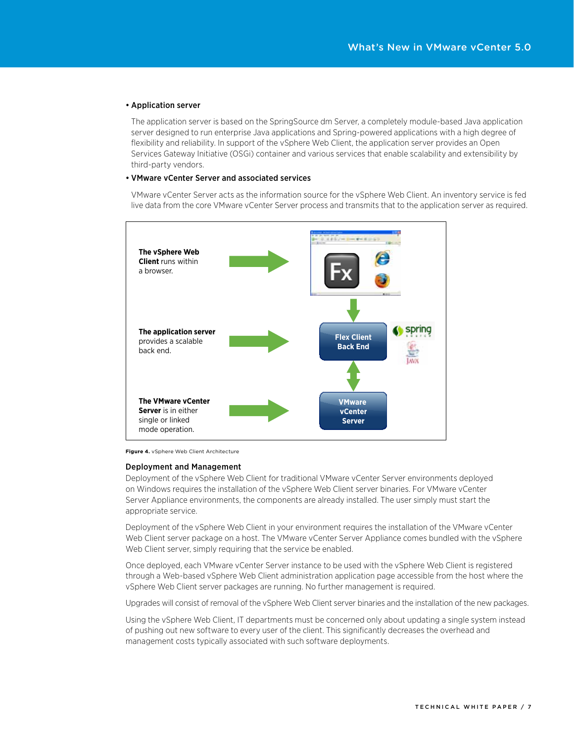#### • Application server

The application server is based on the SpringSource dm Server, a completely module-based Java application server designed to run enterprise Java applications and Spring-powered applications with a high degree of flexibility and reliability. In support of the vSphere Web Client, the application server provides an Open Services Gateway Initiative (OSGi) container and various services that enable scalability and extensibility by third-party vendors.

#### • VMware vCenter Server and associated services

 VMware vCenter Server acts as the information source for the vSphere Web Client. An inventory service is fed live data from the core VMware vCenter Server process and transmits that to the application server as required.



**Figure 4.** vSphere Web Client Architecture

#### Deployment and Management

Deployment of the vSphere Web Client for traditional VMware vCenter Server environments deployed on Windows requires the installation of the vSphere Web Client server binaries. For VMware vCenter Server Appliance environments, the components are already installed. The user simply must start the appropriate service.

Deployment of the vSphere Web Client in your environment requires the installation of the VMware vCenter Web Client server package on a host. The VMware vCenter Server Appliance comes bundled with the vSphere Web Client server, simply requiring that the service be enabled.

Once deployed, each VMware vCenter Server instance to be used with the vSphere Web Client is registered through a Web-based vSphere Web Client administration application page accessible from the host where the vSphere Web Client server packages are running. No further management is required.

Upgrades will consist of removal of the vSphere Web Client server binaries and the installation of the new packages.

Using the vSphere Web Client, IT departments must be concerned only about updating a single system instead of pushing out new software to every user of the client. This significantly decreases the overhead and management costs typically associated with such software deployments.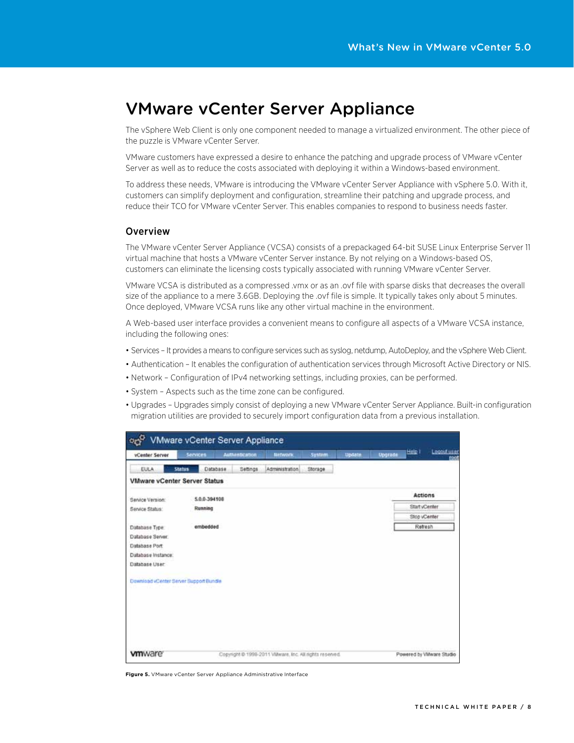# VMware vCenter Server Appliance

The vSphere Web Client is only one component needed to manage a virtualized environment. The other piece of the puzzle is VMware vCenter Server.

VMware customers have expressed a desire to enhance the patching and upgrade process of VMware vCenter Server as well as to reduce the costs associated with deploying it within a Windows-based environment.

To address these needs, VMware is introducing the VMware vCenter Server Appliance with vSphere 5.0. With it, customers can simplify deployment and configuration, streamline their patching and upgrade process, and reduce their TCO for VMware vCenter Server. This enables companies to respond to business needs faster.

### Overview

The VMware vCenter Server Appliance (VCSA) consists of a prepackaged 64-bit SUSE Linux Enterprise Server 11 virtual machine that hosts a VMware vCenter Server instance. By not relying on a Windows-based OS, customers can eliminate the licensing costs typically associated with running VMware vCenter Server.

VMware VCSA is distributed as a compressed .vmx or as an .ovf file with sparse disks that decreases the overall size of the appliance to a mere 3.6GB. Deploying the .ovf file is simple. It typically takes only about 5 minutes. Once deployed, VMware VCSA runs like any other virtual machine in the environment.

A Web-based user interface provides a convenient means to configure all aspects of a VMware VCSA instance, including the following ones:

- Services It provides a means to configure services such as syslog, netdump, AutoDeploy, and the vSphere Web Client.
- • Authentication It enables the configuration of authentication services through Microsoft Active Directory or NIS.
- • Network Configuration of IPv4 networking settings, including proxies, can be performed.
- System Aspects such as the time zone can be configured.
- • Upgrades Upgrades simply consist of deploying a new VMware vCenter Server Appliance. Built-in configuration migration utilities are provided to securely import configuration data from a previous installation.

| $\circ$                                |                 | VMware vCenter Server Appliance                         |                 |         |               |         | Help I         | Logout user              |
|----------------------------------------|-----------------|---------------------------------------------------------|-----------------|---------|---------------|---------|----------------|--------------------------|
| vCenter Server                         | <b>Services</b> | Authentication                                          | <b>Bantwork</b> | System  | <b>Update</b> | Upgrade |                | rpe                      |
| <b>EULA</b>                            | <b>Status</b>   | Database<br>Settings                                    | Administration  | Storage |               |         |                |                          |
| <b>VMware vCenter Server Status</b>    |                 |                                                         |                 |         |               |         |                |                          |
| Service Version:                       | 5.0.0-394108    |                                                         |                 |         |               |         | <b>Actions</b> |                          |
| Service Status:                        | Running         |                                                         |                 |         |               |         | Start vCenter  |                          |
|                                        |                 |                                                         |                 |         |               |         | Stop vCenter   |                          |
| Database Type                          | embedded        |                                                         |                 |         |               |         | Refresh        |                          |
| Database Server:                       |                 |                                                         |                 |         |               |         |                |                          |
| Database Port                          |                 |                                                         |                 |         |               |         |                |                          |
| Database Instance:                     |                 |                                                         |                 |         |               |         |                |                          |
| Database User                          |                 |                                                         |                 |         |               |         |                |                          |
| Download vCenter Server Support Bundle |                 |                                                         |                 |         |               |         |                |                          |
|                                        |                 |                                                         |                 |         |               |         |                |                          |
|                                        |                 |                                                         |                 |         |               |         |                |                          |
|                                        |                 |                                                         |                 |         |               |         |                |                          |
|                                        |                 |                                                         |                 |         |               |         |                |                          |
|                                        |                 |                                                         |                 |         |               |         |                |                          |
|                                        |                 |                                                         |                 |         |               |         |                |                          |
| <b>vm</b> ware <sup>®</sup>            |                 | Copyright @ 1998-2011 VMware, Inc. All rights reserved. |                 |         |               |         |                | Powered by VMware Studio |

**Figure 5.** VMware vCenter Server Appliance Administrative Interface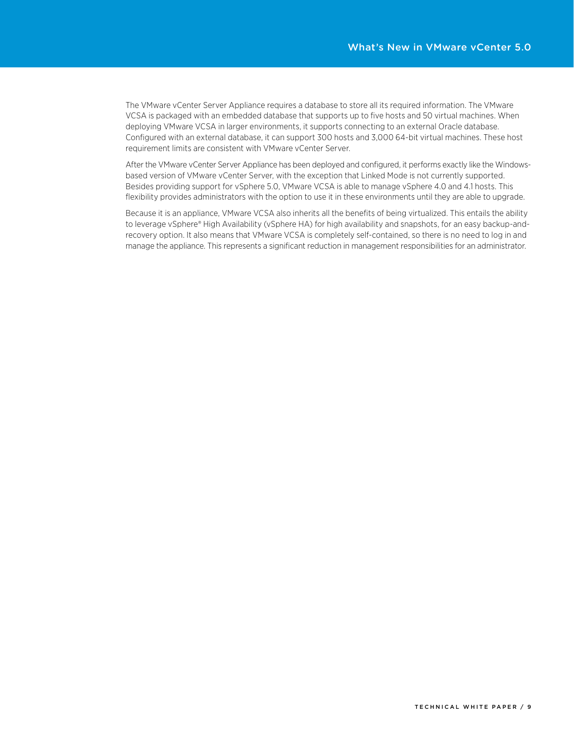The VMware vCenter Server Appliance requires a database to store all its required information. The VMware VCSA is packaged with an embedded database that supports up to five hosts and 50 virtual machines. When deploying VMware VCSA in larger environments, it supports connecting to an external Oracle database. Configured with an external database, it can support 300 hosts and 3,000 64-bit virtual machines. These host requirement limits are consistent with VMware vCenter Server.

After the VMware vCenter Server Appliance has been deployed and configured, it performs exactly like the Windowsbased version of VMware vCenter Server, with the exception that Linked Mode is not currently supported. Besides providing support for vSphere 5.0, VMware VCSA is able to manage vSphere 4.0 and 4.1 hosts. This flexibility provides administrators with the option to use it in these environments until they are able to upgrade.

Because it is an appliance, VMware VCSA also inherits all the benefits of being virtualized. This entails the ability to leverage vSphere® High Availability (vSphere HA) for high availability and snapshots, for an easy backup-andrecovery option. It also means that VMware VCSA is completely self-contained, so there is no need to log in and manage the appliance. This represents a significant reduction in management responsibilities for an administrator.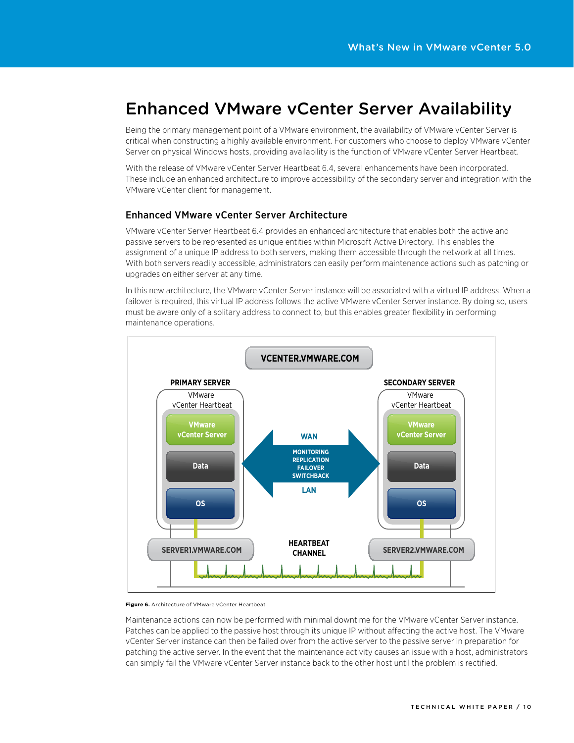# Enhanced VMware vCenter Server Availability

Being the primary management point of a VMware environment, the availability of VMware vCenter Server is critical when constructing a highly available environment. For customers who choose to deploy VMware vCenter Server on physical Windows hosts, providing availability is the function of VMware vCenter Server Heartbeat.

With the release of VMware vCenter Server Heartbeat 6.4, several enhancements have been incorporated. These include an enhanced architecture to improve accessibility of the secondary server and integration with the VMware vCenter client for management.

### Enhanced VMware vCenter Server Architecture

VMware vCenter Server Heartbeat 6.4 provides an enhanced architecture that enables both the active and passive servers to be represented as unique entities within Microsoft Active Directory. This enables the assignment of a unique IP address to both servers, making them accessible through the network at all times. With both servers readily accessible, administrators can easily perform maintenance actions such as patching or upgrades on either server at any time.

In this new architecture, the VMware vCenter Server instance will be associated with a virtual IP address. When a failover is required, this virtual IP address follows the active VMware vCenter Server instance. By doing so, users must be aware only of a solitary address to connect to, but this enables greater flexibility in performing maintenance operations.



#### **Figure 6.** Architecture of VMware vCenter Heartbeat

Maintenance actions can now be performed with minimal downtime for the VMware vCenter Server instance. Patches can be applied to the passive host through its unique IP without affecting the active host. The VMware vCenter Server instance can then be failed over from the active server to the passive server in preparation for patching the active server. In the event that the maintenance activity causes an issue with a host, administrators can simply fail the VMware vCenter Server instance back to the other host until the problem is rectified.